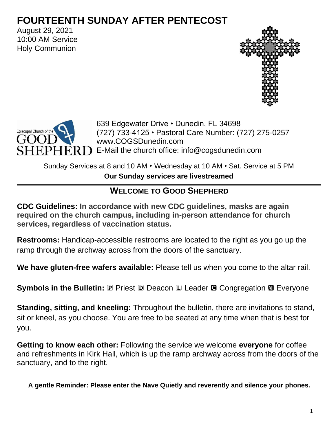# **FOURTEENTH SUNDAY AFTER PENTECOST**

August 29, 2021 10:00 AM Service Holy Communion





639 Edgewater Drive • Dunedin, FL 34698 (727) 733-4125 • Pastoral Care Number: (727) 275-0257 www.COGSDunedin.com  $ERD$  E-Mail the church office: info@cogsdunedin.com

Sunday Services at 8 and 10 AM • Wednesday at 10 AM • Sat. Service at 5 PM

**Our Sunday services are livestreamed**

# **WELCOME TO GOOD SHEPHERD**

**CDC Guidelines: In accordance with new CDC guidelines, masks are again required on the church campus, including in-person attendance for church services, regardless of vaccination status.**

**Restrooms:** Handicap-accessible restrooms are located to the right as you go up the ramp through the archway across from the doors of the sanctuary.

**We have gluten-free wafers available:** Please tell us when you come to the altar rail.

**Symbols in the Bulletin: P Priest D Deacon L Leader G Congregation**  $\mathbf{M}$  **Everyone** 

**Standing, sitting, and kneeling:** Throughout the bulletin, there are invitations to stand, sit or kneel, as you choose. You are free to be seated at any time when that is best for you.

**Getting to know each other:** Following the service we welcome **everyone** for coffee and refreshments in Kirk Hall, which is up the ramp archway across from the doors of the sanctuary, and to the right.

**A gentle Reminder: Please enter the Nave Quietly and reverently and silence your phones.**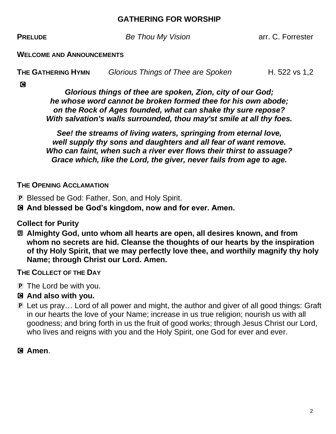#### **GATHERING FOR WORSHIP**

**PRELUDE Be Thou My Vision Be Thou My Vision arr. C. Forrester** 

**WELCOME AND ANNOUNCEMENTS**

**THE GATHERING HYMN Glorious Things of Thee are Spoken H. 522 vs 1,2** 

**C** 

*Glorious things of thee are spoken, Zion, city of our God; he whose word cannot be broken formed thee for his own abode; on the Rock of Ages founded, what can shake thy sure repose? With salvation's walls surrounded, thou may'st smile at all thy foes.*

*See! the streams of living waters, springing from eternal love, well supply thy sons and daughters and all fear of want remove. Who can faint, when such a river ever flows their thirst to assuage? Grace which, like the Lord, the giver, never fails from age to age.*

## **THE OPENING ACCLAMATION**

- P Blessed be God: Father, Son, and Holy Spirit.
- C **And blessed be God's kingdom, now and for ever. Amen.**

**Collect for Purity**

a **Almighty God, unto whom all hearts are open, all desires known, and from whom no secrets are hid. Cleanse the thoughts of our hearts by the inspiration of thy Holy Spirit, that we may perfectly love thee, and worthily magnify thy holy Name; through Christ our Lord. Amen.**

**THE COLLECT OF THE DAY**

- P The Lord be with you.
- C **And also with you.**
- P Let us pray… Lord of all power and might, the author and giver of all good things: Graft in our hearts the love of your Name; increase in us true religion; nourish us with all goodness; and bring forth in us the fruit of good works; through Jesus Christ our Lord, who lives and reigns with you and the Holy Spirit, one God for ever and ever.
- C **Amen**.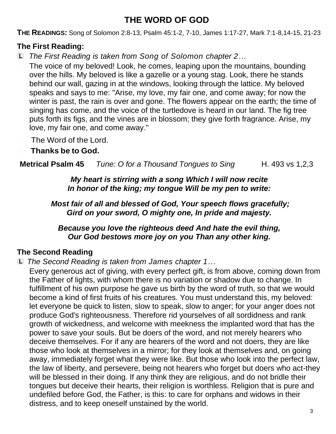# **THE WORD OF GOD**

**THE READINGS:** Song of Solomon 2:8-13, Psalm 45:1-2, 7-10, James 1:17-27, Mark 7:1-8,14-15, 21-23

# **The First Reading:**

L *The First Reading is taken from Song of Solomon chapter 2…*

The voice of my beloved! Look, he comes, leaping upon the mountains, bounding over the hills. My beloved is like a gazelle or a young stag. Look, there he stands behind our wall, gazing in at the windows, looking through the lattice. My beloved speaks and says to me: "Arise, my love, my fair one, and come away; for now the winter is past, the rain is over and gone. The flowers appear on the earth; the time of singing has come, and the voice of the turtledove is heard in our land. The fig tree puts forth its figs, and the vines are in blossom; they give forth fragrance. Arise, my love, my fair one, and come away."

The Word of the Lord.

<sup>C</sup> **Thanks be to God.**

**Metrical Psalm 45** *Tune:* O for a Thousand Tongues to Sing H. 493 vs 1,2,3

*My heart is stirring with a song Which I will now recite In honor of the king; my tongue Will be my pen to write:*

*Most fair of all and blessed of God, Your speech flows gracefully; Gird on your sword, O mighty one, In pride and majesty.*

*Because you love the righteous deed And hate the evil thing, Our God bestows more joy on you Than any other king.*

# **The Second Reading**

L *The Second Reading is taken from James chapter 1…*

Every generous act of giving, with every perfect gift, is from above, coming down from the Father of lights, with whom there is no variation or shadow due to change. In fulfillment of his own purpose he gave us birth by the word of truth, so that we would become a kind of first fruits of his creatures. You must understand this, my beloved: let everyone be quick to listen, slow to speak, slow to anger; for your anger does not produce God's righteousness. Therefore rid yourselves of all sordidness and rank growth of wickedness, and welcome with meekness the implanted word that has the power to save your souls. But be doers of the word, and not merely hearers who deceive themselves. For if any are hearers of the word and not doers, they are like those who look at themselves in a mirror; for they look at themselves and, on going away, immediately forget what they were like. But those who look into the perfect law, the law of liberty, and persevere, being not hearers who forget but doers who act-they will be blessed in their doing. If any think they are religious, and do not bridle their tongues but deceive their hearts, their religion is worthless. Religion that is pure and undefiled before God, the Father, is this: to care for orphans and widows in their distress, and to keep oneself unstained by the world.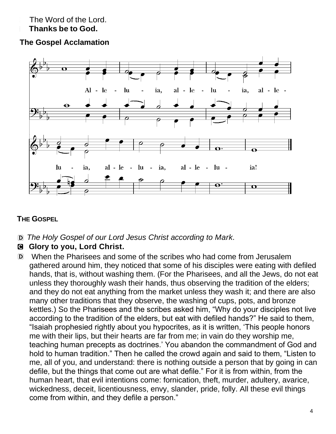# The Word of the Lord.

# <sup>C</sup> **Thanks be to God.**

# **The Gospel Acclamation**



# **THE GOSPEL**

- D *The Holy Gospel of our Lord Jesus Christ according to Mark.*
- C **Glory to you, Lord Christ.**
- D When the Pharisees and some of the scribes who had come from Jerusalem gathered around him, they noticed that some of his disciples were eating with defiled hands, that is, without washing them. (For the Pharisees, and all the Jews, do not eat unless they thoroughly wash their hands, thus observing the tradition of the elders; and they do not eat anything from the market unless they wash it; and there are also many other traditions that they observe, the washing of cups, pots, and bronze kettles.) So the Pharisees and the scribes asked him, "Why do your disciples not live according to the tradition of the elders, but eat with defiled hands?" He said to them, "Isaiah prophesied rightly about you hypocrites, as it is written, 'This people honors me with their lips, but their hearts are far from me; in vain do they worship me, teaching human precepts as doctrines.' You abandon the commandment of God and hold to human tradition." Then he called the crowd again and said to them, "Listen to me, all of you, and understand: there is nothing outside a person that by going in can defile, but the things that come out are what defile." For it is from within, from the human heart, that evil intentions come: fornication, theft, murder, adultery, avarice, wickedness, deceit, licentiousness, envy, slander, pride, folly. All these evil things come from within, and they defile a person."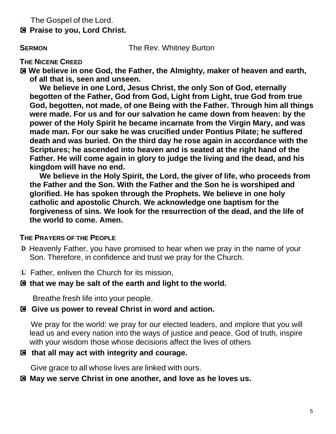The Gospel of the Lord.

C **Praise to you, Lord Christ.**

**SERMON** The Rev. Whitney Burton

## **THE NICENE CREED**

C **We believe in one God, the Father, the Almighty, maker of heaven and earth, of all that is, seen and unseen.**

**We believe in one Lord, Jesus Christ, the only Son of God, eternally begotten of the Father, God from God, Light from Light, true God from true God, begotten, not made, of one Being with the Father. Through him all things were made. For us and for our salvation he came down from heaven: by the power of the Holy Spirit he became incarnate from the Virgin Mary, and was made man. For our sake he was crucified under Pontius Pilate; he suffered death and was buried. On the third day he rose again in accordance with the Scriptures; he ascended into heaven and is seated at the right hand of the Father. He will come again in glory to judge the living and the dead, and his kingdom will have no end.**

**We believe in the Holy Spirit, the Lord, the giver of life, who proceeds from the Father and the Son. With the Father and the Son he is worshiped and glorified. He has spoken through the Prophets. We believe in one holy catholic and apostolic Church. We acknowledge one baptism for the forgiveness of sins. We look for the resurrection of the dead, and the life of the world to come. Amen.**

## **THE PRAYERS OF THE PEOPLE**

- D Heavenly Father, you have promised to hear when we pray in the name of your Son. Therefore, in confidence and trust we pray for the Church.
- L Father, enliven the Church for its mission,

## C **that we may be salt of the earth and light to the world.**

Breathe fresh life into your people.

## C **Give us power to reveal Christ in word and action.**

We pray for the world: we pray for our elected leaders, and implore that you will lead us and every nation into the ways of justice and peace. God of truth, inspire with your wisdom those whose decisions affect the lives of others

## C **that all may act with integrity and courage.**

Give grace to all whose lives are linked with ours.

## C **May we serve Christ in one another, and love as he loves us.**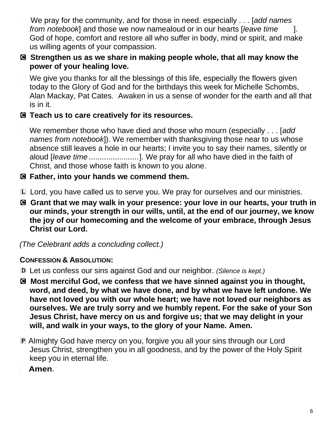<sup>L</sup> We pray for the community, and for those in need. especially . . . [*add names from notebook*] and those we now namealoud or in our hearts [*leave time* ]. God of hope, comfort and restore all who suffer in body, mind or spirit, and make us willing agents of your compassion.

# C **Strengthen us as we share in making people whole, that all may know the power of your healing love.**

We give you thanks for all the blessings of this life, especially the flowers given today to the Glory of God and for the birthdays this week for Michelle Schombs, Alan Mackay, Pat Cates*.* Awaken in us a sense of wonder for the earth and all that is in it.

# C **Teach us to care creatively for its resources.**

<sup>L</sup> We remember those who have died and those who mourn (especially . . . [*add names from notebook*]). We remember with thanksgiving those near to us whose absence still leaves a hole in our hearts; I invite you to say their names, silently or aloud [*leave time .......................*]. We pray for all who have died in the faith of Christ, and those whose faith is known to you alone.

# C **Father, into your hands we commend them.**

- L Lord, you have called us to serve you. We pray for ourselves and our ministries.
- C **Grant that we may walk in your presence: your love in our hearts, your truth in our minds, your strength in our wills, until, at the end of our journey, we know the joy of our homecoming and the welcome of your embrace, through Jesus Christ our Lord.**

*(The Celebrant adds a concluding collect.)* 

# **CONFESSION & ABSOLUTION:**

- D Let us confess our sins against God and our neighbor. *(Silence is kept.)*
- C **Most merciful God, we confess that we have sinned against you in thought, word, and deed, by what we have done, and by what we have left undone. We have not loved you with our whole heart; we have not loved our neighbors as ourselves. We are truly sorry and we humbly repent. For the sake of your Son Jesus Christ, have mercy on us and forgive us; that we may delight in your will, and walk in your ways, to the glory of your Name. Amen.**
- P Almighty God have mercy on you, forgive you all your sins through our Lord Jesus Christ, strengthen you in all goodness, and by the power of the Holy Spirit keep you in eternal life.
	- <sup>C</sup> **Amen**.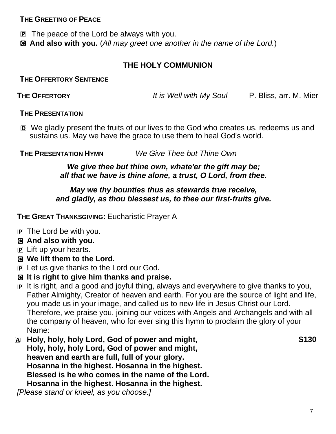## **THE GREETING OF PEACE**

P The peace of the Lord be always with you.

C **And also with you.** (*All may greet one another in the name of the Lord.*)

# **THE HOLY COMMUNION**

**THE OFFERTORY SENTENCE**

**THE OFFERTORY** *It is Well with My Soul* P. Bliss, arr. M. Mier

#### **THE PRESENTATION**

D We gladly present the fruits of our lives to the God who creates us, redeems us and sustains us. May we have the grace to use them to heal God's world.

**THE PRESENTATION HYMN** *We Give Thee but Thine Own*

#### *We give thee but thine own, whate'er the gift may be; all that we have is thine alone, a trust, O Lord, from thee.*

#### *May we thy bounties thus as stewards true receive, and gladly, as thou blessest us, to thee our first-fruits give.*

**THE GREAT THANKSGIVING:** Eucharistic Prayer A

- P The Lord be with you.
- C **And also with you.**
- P Lift up your hearts.
- C **We lift them to the Lord.**
- P Let us give thanks to the Lord our God.
- C **It is right to give him thanks and praise.**
- P It is right, and a good and joyful thing, always and everywhere to give thanks to you, Father Almighty, Creator of heaven and earth. For you are the source of light and life, you made us in your image, and called us to new life in Jesus Christ our Lord. Therefore, we praise you, joining our voices with Angels and Archangels and with all the company of heaven, who for ever sing this hymn to proclaim the glory of your Name:
- A **Holy, holy, holy Lord, God of power and might, S130 Holy, holy, holy Lord, God of power and might, heaven and earth are full, full of your glory. Hosanna in the highest. Hosanna in the highest. Blessed is he who comes in the name of the Lord. Hosanna in the highest. Hosanna in the highest.**

*[Please stand or kneel, as you choose.]*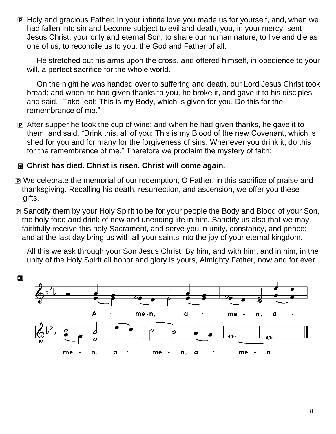P Holy and gracious Father: In your infinite love you made us for yourself, and, when we had fallen into sin and become subject to evil and death, you, in your mercy, sent Jesus Christ, your only and eternal Son, to share our human nature, to live and die as one of us, to reconcile us to you, the God and Father of all.

He stretched out his arms upon the cross, and offered himself, in obedience to your will, a perfect sacrifice for the whole world.

On the night he was handed over to suffering and death, our Lord Jesus Christ took bread; and when he had given thanks to you, he broke it, and gave it to his disciples, and said, "Take, eat: This is my Body, which is given for you. Do this for the remembrance of me."

P After supper he took the cup of wine; and when he had given thanks, he gave it to them, and said, "Drink this, all of you: This is my Blood of the new Covenant, which is shed for you and for many for the forgiveness of sins. Whenever you drink it, do this for the remembrance of me." Therefore we proclaim the mystery of faith:

## C **Christ has died. Christ is risen. Christ will come again.**

- P We celebrate the memorial of our redemption, O Father, in this sacrifice of praise and thanksgiving. Recalling his death, resurrection, and ascension, we offer you these gifts.
- P Sanctify them by your Holy Spirit to be for your people the Body and Blood of your Son, the holy food and drink of new and unending life in him. Sanctify us also that we may faithfully receive this holy Sacrament, and serve you in unity, constancy, and peace; and at the last day bring us with all your saints into the joy of your eternal kingdom.

All this we ask through your Son Jesus Christ: By him, and with him, and in him, in the unity of the Holy Spirit all honor and glory is yours, Almighty Father, now and for ever.

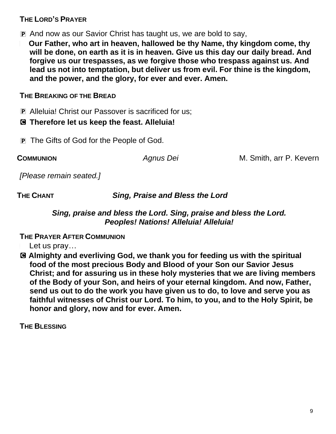# **THE LORD'S PRAYER**

P And now as our Savior Christ has taught us, we are bold to say,

<sup>a</sup> **Our Father, who art in heaven, hallowed be thy Name, thy kingdom come, thy will be done, on earth as it is in heaven. Give us this day our daily bread. And forgive us our trespasses, as we forgive those who trespass against us. And lead us not into temptation, but deliver us from evil. For thine is the kingdom, and the power, and the glory, for ever and ever. Amen.**

# **THE BREAKING OF THE BREAD**

P Alleluia! Christ our Passover is sacrificed for us;

# C **Therefore let us keep the feast. Alleluia!**

**P** The Gifts of God for the People of God.

**COMMUNION** *Agnus Dei* M. Smith, arr P. Kevern

*[Please remain seated.]*

**THE CHANT** *Sing, Praise and Bless the Lord*

# *Sing, praise and bless the Lord. Sing, praise and bless the Lord. Peoples! Nations! Alleluia! Alleluia!*

**THE PRAYER AFTER COMMUNION**

Let us pray...

C **Almighty and everliving God, we thank you for feeding us with the spiritual food of the most precious Body and Blood of your Son our Savior Jesus Christ; and for assuring us in these holy mysteries that we are living members of the Body of your Son, and heirs of your eternal kingdom. And now, Father, send us out to do the work you have given us to do, to love and serve you as faithful witnesses of Christ our Lord. To him, to you, and to the Holy Spirit, be honor and glory, now and for ever. Amen.**

**THE BLESSING**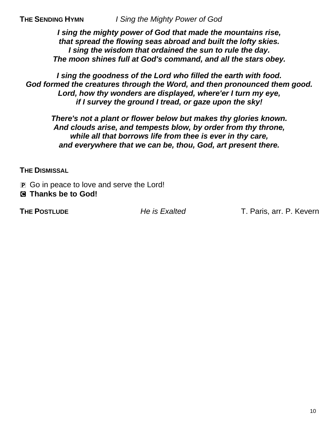*I sing the mighty power of God that made the mountains rise, that spread the flowing seas abroad and built the lofty skies. I sing the wisdom that ordained the sun to rule the day. The moon shines full at God's command, and all the stars obey.*

*I sing the goodness of the Lord who filled the earth with food. God formed the creatures through the Word, and then pronounced them good. Lord, how thy wonders are displayed, where'er I turn my eye, if I survey the ground I tread, or gaze upon the sky!*

*There's not a plant or flower below but makes thy glories known. And clouds arise, and tempests blow, by order from thy throne, while all that borrows life from thee is ever in thy care, and everywhere that we can be, thou, God, art present there.*

**THE DISMISSAL**

**P** Go in peace to love and serve the Lord! C **Thanks be to God!**

**THE POSTLUDE** *He is Exalted* T. Paris, arr. P. Kevern